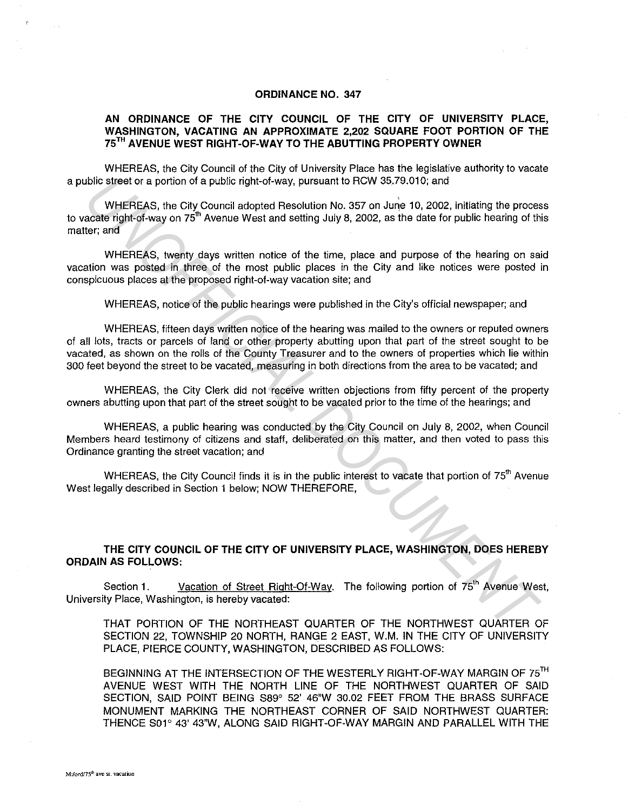## ORDINANCE NO. 347

## AN ORDINANCE OF THE CITY COUNCIL OF THE CITY OF UNIVERSITY PLACE, WASHINGTON, VACATING AN APPROXIMATE 2,202 SQUARE FOOT PORTION OF THE 75TH AVENUE WEST RIGHT-OF-WAY TO THE ABUTTING PROPERTY OWNER

WHEREAS, the City Council of the City of University Place has the legislative authority to *vacate*  a public street or a portion of a public right-of-way, pursuant to RCW 35.79.010; and

WHEREAS, the City Council adopted Resolution No. 357 on June 10, 2002, initiating the process to vacate right-of-way on 75<sup>th</sup> Avenue West and setting July 8, 2002, as the date for public hearing of this matter; and

WHEREAS, twenty days written notice of the time, place and purpose of the hearing on said vacation was posted in three of the most public places in the City and like notices were posted in conspicuous places at the proposed right-of-way vacation site; and

WHEREAS, notice of the public hearings were published in the City's official newspaper; and

WHEREAS, fifteen days written notice of the hearing was mailed to the owners or reputed owners of all lots, tracts or parcels of land or other property abutting upon that part of the street sought to be vacated, as shown on the rolls of the County Treasurer and to the owners of properties which lie within 300 feet beyond the street to be vacated, measuring in both directions from the area to be vacated; and *Distinguist* the city of a public right-of-way, pursuant to RGW 35.79.010; and<br>
whishERAS, the City Council adopted Resolution No. 357 on June 10, 2002, initiating the proces<br>
acate right-of-way on 75<sup>th</sup> Avenue West and

WHEREAS, the City Clerk did not receive written objections from fifty percent of the property owners abutting upon that part of the street sought to be vacated prior to the time of the hearings; and

WHEREAS, a public hearing was conducted by the City Council on July 8, 2002, when Council Members heard testimony of citizens and staff, deliberated on this matter, and then voted to pass this Ordinance granting the street vacation; and

WHEREAS, the City Council finds it is in the public interest to vacate that portion of 75<sup>th</sup> Avenue West legally described in Section 1 below; NOW THEREFORE,

## THE CITY COUNCIL OF THE CITY OF UNIVERSITY PLACE, WASHINGTON, DOES HEREBY ORDAIN AS FOLLOWS:

Section 1. Vacation of Street Right-Of-Way. The following portion of 75<sup>th</sup> Avenue West. University Place, Washington, is hereby vacated:

THAT PORTION OF THE NORTHEAST QUARTER OF THE NORTHWEST QUARTER OF SECTION 22, TOWNSHIP 20 NORTH, RANGE 2 EAST, W.M. IN THE CITY OF UNIVERSITY PLACE, PIERCE COUNTY, WASHINGTON, DESCRIBED AS FOLLOWS:

BEGINNING AT THE INTERSECTION OF THE WESTERLY RIGHT-OF-WAY MARGIN OF 75<sup>TH</sup> AVENUE WEST WITH THE NORTH LINE OF THE NORTHWEST QUARTER OF SAID SECTION, SAID POINT BEING S89° 52' 46"W 30.02 FEET FROM THE BRASS SURFACE MONUMENT MARKING THE NORTHEAST CORNER OF SAID NORTHWEST QUARTER: THENCE S01° 43' 43"W, ALONG SAID RIGHT-OF-WAY MARGIN AND PARALLEL WITH THE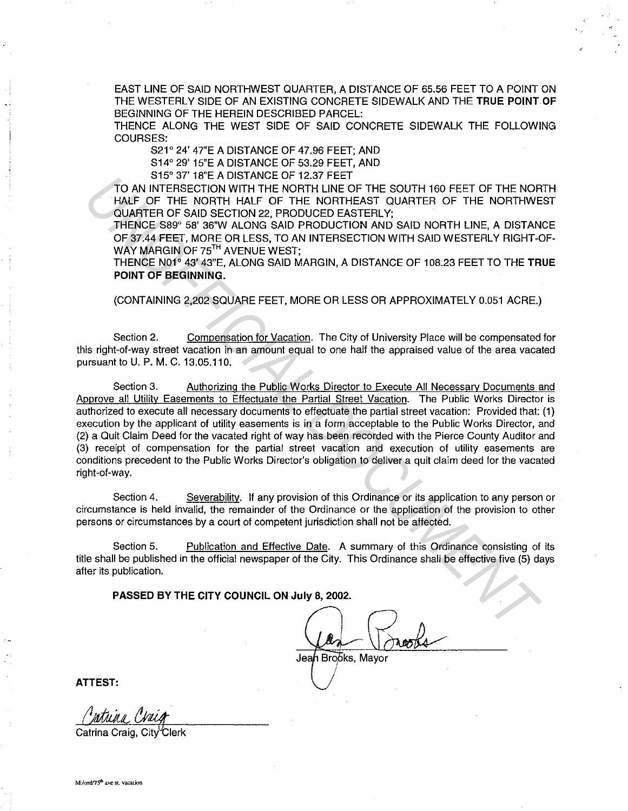EAST LINE OF SAID NORTHWEST QUARTER, A DISTANCE OF 65.56 FEET TO A POINT ON THE WESTERLY SIDE OF AN EXISTING CONCRETE SIDEWALK AND THE TRUE POINT OF BEGINNING OF THE HEREIN DESCRIBED PARCEL:

THENCE ALONG THE WEST SIDE OF SAID CONCRETE SIDEWALK THE FOLLOWING COURSES:

S21° 24' 47"E A DISTANCE OF 47.96 FEET; AND

S14° 29' 15"E A DISTANCE OF 53.29 FEET, AND

S15° 37' 18"E A DISTANCE OF 12.37 FEET

TO AN INTERSECTION WITH THE NORTH LINE OF THE SOUTH 160 FEET OF THE NORTH HALF OF THE NORTH HALF OF THE NORTHEAST QUARTER OF THE NORTHWEST QUARTER OF SAID SECTION 22, PRODUCED EASTERLY;

THENCE S89° 58' 36"W ALONG SAID PRODUCTION AND SAID NORTH LINE, A DISTANCE OF 37.44 FEET, MORE OR LESS, TO AN INTERSECTION WITH SAID WESTERLY RIGHT-OF-WAY MARGIN OF 75<sup>TH</sup> AVENUE WEST;

THENCE N01° 43' 43"E, ALONG SAID MARGIN, A DISTANCE OF 108.23 FEET TO THE TRUE POINT OF BEGINNING.

(CONTAINING 2,202 SQUARE FEET, MORE OR LESS OR APPROXIMATELY 0.051 ACRE.)

Section 2. Compensation for Vacation. The City of University Place will be compensated for this right-of-way street vacation in an amount equal to one half the appraised value of the area vacated pursuant to U. P. M. C.13.05.110.

Section 3. Authorizing the Public Works Director to Execute All Necessary Documents and Approve all Utility Easements to Effectuate the Partial Street Vacation. The Public Works Director is authorized to execute all necessary documents to effectuate the partial street vacation: Provided that: (1) execution by the applicant of utility easements is in a form acceptable to the Public Works Director, and (2) a Quit Claim Deed for the vacated right of way has been recorded with the Pierce County Auditor and (3) receipt of compensation for the partial street vacation and execution of utility easements are conditions precedent to the Public Works Director's obligation to deliver a quit claim deed for the vacated right-of-way. TO AN INTERSECTION WITH THE NORTHELD OF THE SOUTH 160 FEET OF THE NORTHEAD AND IMPORTATION WITH THE NORTHEAD OF THE NORTHEAD OF THE NORTHEAD OF THE NORTHEAD CHANNEL POF THE NORTHEAD OF THE NORTHEAD CHANNEL A DISTANCE AND

Section 4. Severability. If any provision of this Ordinance or its application to any person or circumstance is held invalid, the remainder of the Ordinance or the application of the provision to other persons or circumstances by a court of competent jurisdiction shall not be affected.

Section 5. Publication and Effective Date. A summary of this Ordinance consisting of its title shall be published in the official newspaper of the City. This Ordinance shall be effective five (5) days after its publication.

PASSED BY THE CITY COUNCIL ON July 8, 2002.

Jean Brooks, Mavor

ATTEST:

Catrina Craig, City Clerk